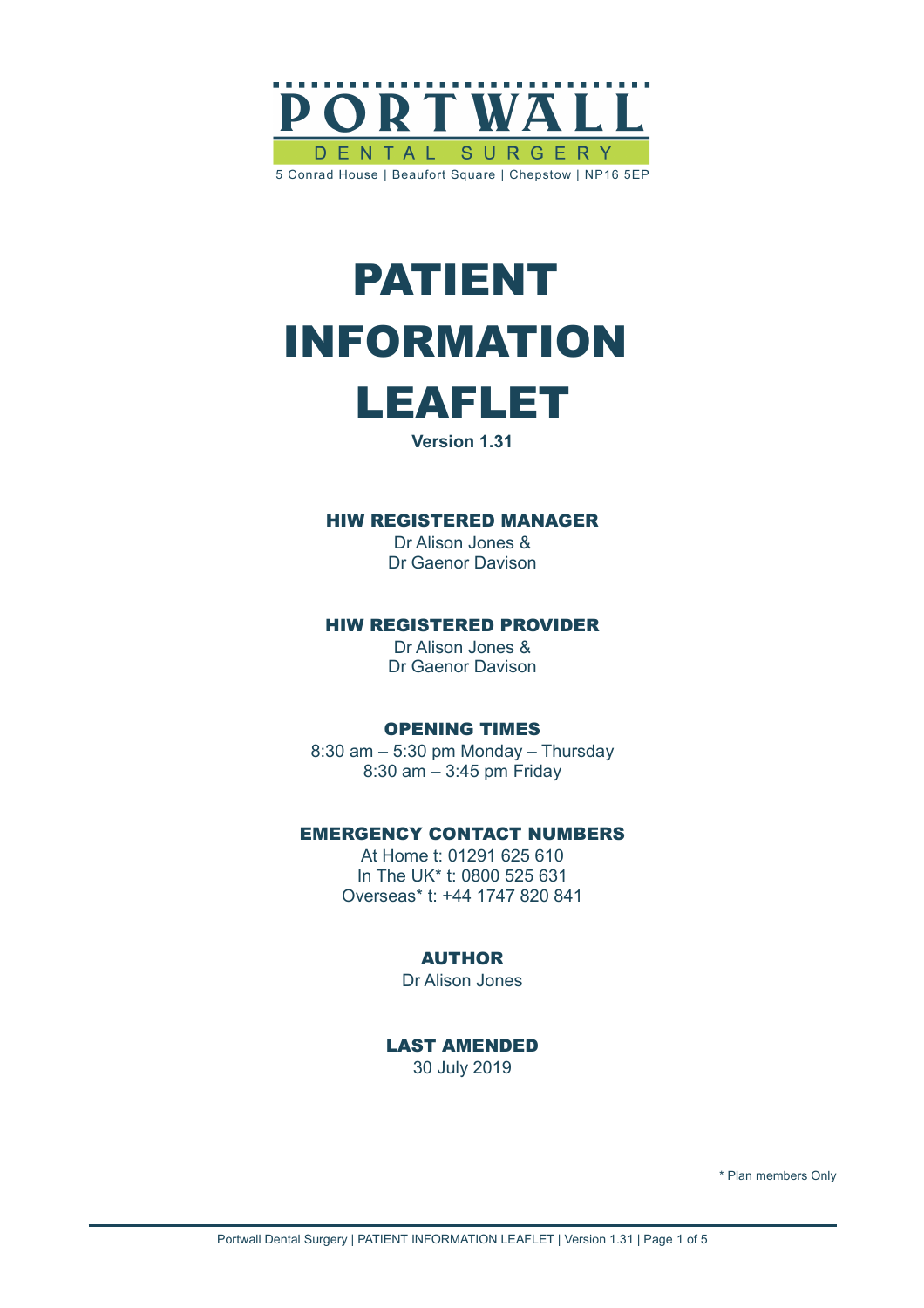

# PATIENT INFORMATION



**Version 1.31**

## HIW REGISTERED MANAGER

Dr Alison Jones & Dr Gaenor Davison

### HIW REGISTERED PROVIDER

Dr Alison Jones & Dr Gaenor Davison

### OPENING TIMES

8:30 am – 5:30 pm Monday – Thursday 8:30 am – 3:45 pm Friday

# EMERGENCY CONTACT NUMBERS

At Home t: 01291 625 610 In The UK\* t: 0800 525 631 Overseas\* t: +44 1747 820 841

# AUTHOR

Dr Alison Jones

LAST AMENDED 30 July 2019

\* Plan members Only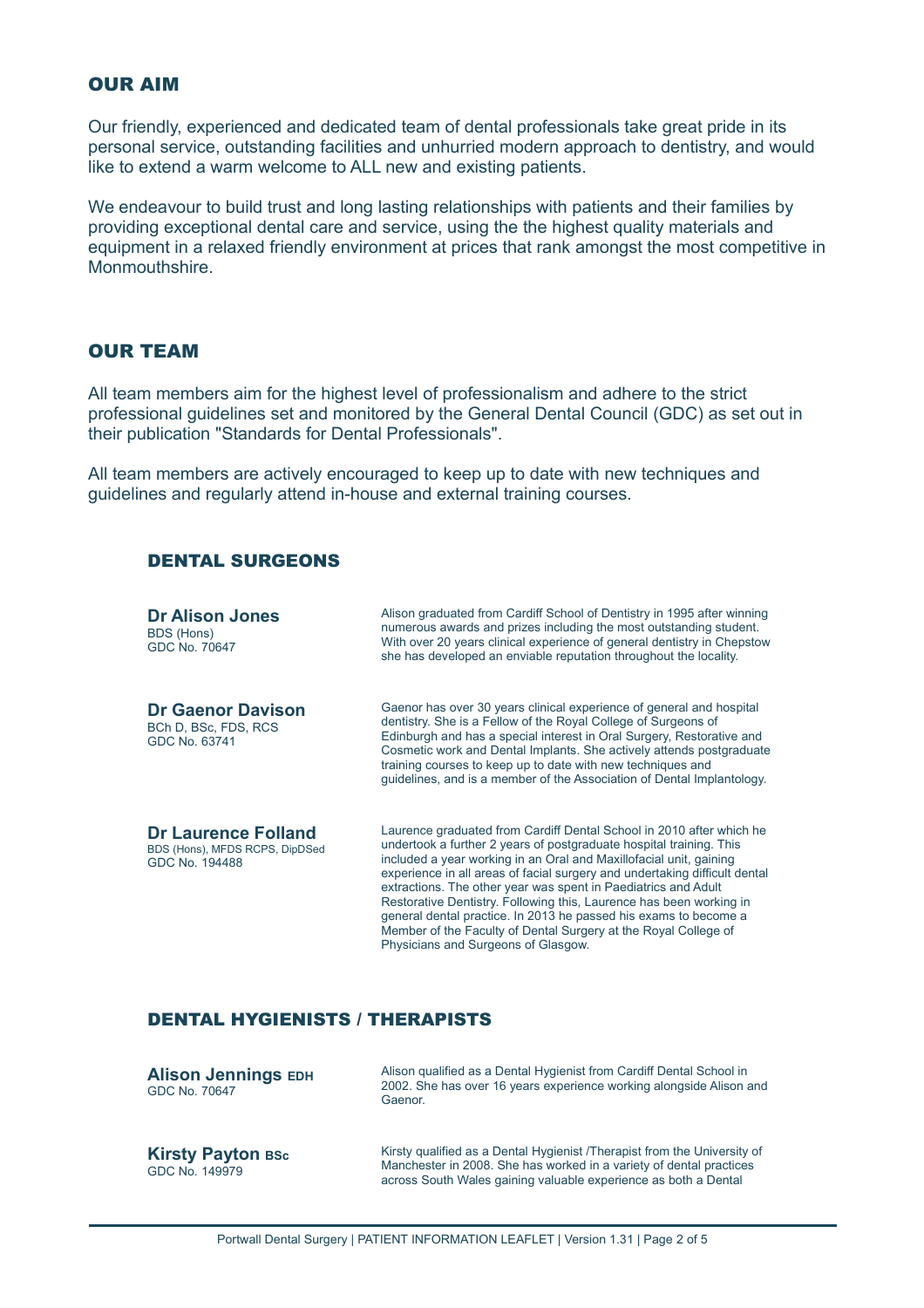#### OUR AIM

Our friendly, experienced and dedicated team of dental professionals take great pride in its personal service, outstanding facilities and unhurried modern approach to dentistry, and would like to extend a warm welcome to ALL new and existing patients.

We endeavour to build trust and long lasting relationships with patients and their families by providing exceptional dental care and service, using the the highest quality materials and equipment in a relaxed friendly environment at prices that rank amongst the most competitive in **Monmouthshire** 

# OUR TEAM

All team members aim for the highest level of professionalism and adhere to the strict professional guidelines set and monitored by the General Dental Council (GDC) as set out in their publication "Standards for Dental Professionals".

All team members are actively encouraged to keep up to date with new techniques and guidelines and regularly attend in-house and external training courses.

#### DENTAL SURGEONS

| <b>Dr Alison Jones</b><br>BDS (Hons)<br>GDC No. 70647                          | Alison graduated from Cardiff School of Dentistry in 1995 after winning<br>numerous awards and prizes including the most outstanding student.<br>With over 20 years clinical experience of general dentistry in Chepstow<br>she has developed an enviable reputation throughout the locality.                                                                                                                                                                                                                                                                                                                          |
|--------------------------------------------------------------------------------|------------------------------------------------------------------------------------------------------------------------------------------------------------------------------------------------------------------------------------------------------------------------------------------------------------------------------------------------------------------------------------------------------------------------------------------------------------------------------------------------------------------------------------------------------------------------------------------------------------------------|
| <b>Dr Gaenor Davison</b><br>BCh D, BSc, FDS, RCS<br>GDC No. 63741              | Gaenor has over 30 years clinical experience of general and hospital<br>dentistry. She is a Fellow of the Royal College of Surgeons of<br>Edinburgh and has a special interest in Oral Surgery, Restorative and<br>Cosmetic work and Dental Implants. She actively attends postgraduate<br>training courses to keep up to date with new techniques and<br>guidelines, and is a member of the Association of Dental Implantology.                                                                                                                                                                                       |
| <b>Dr Laurence Folland</b><br>BDS (Hons), MFDS RCPS, DipDSed<br>GDC No. 194488 | Laurence graduated from Cardiff Dental School in 2010 after which he<br>undertook a further 2 years of postgraduate hospital training. This<br>included a year working in an Oral and Maxillofacial unit, gaining<br>experience in all areas of facial surgery and undertaking difficult dental<br>extractions. The other year was spent in Paediatrics and Adult<br>Restorative Dentistry. Following this, Laurence has been working in<br>general dental practice. In 2013 he passed his exams to become a<br>Member of the Faculty of Dental Surgery at the Royal College of<br>Physicians and Surgeons of Glasgow. |

# DENTAL HYGIENISTS / THERAPISTS

| <b>Alison Jennings EDH</b><br>GDC No. 70647 | Alison qualified as a Dental Hygienist from Cardiff Dental School in<br>2002. She has over 16 years experience working alongside Alison and<br>Gaenor.                                                             |
|---------------------------------------------|--------------------------------------------------------------------------------------------------------------------------------------------------------------------------------------------------------------------|
| <b>Kirsty Payton BSc</b><br>GDC No. 149979  | Kirsty qualified as a Dental Hygienist /Therapist from the University of<br>Manchester in 2008. She has worked in a variety of dental practices<br>across South Wales gaining valuable experience as both a Dental |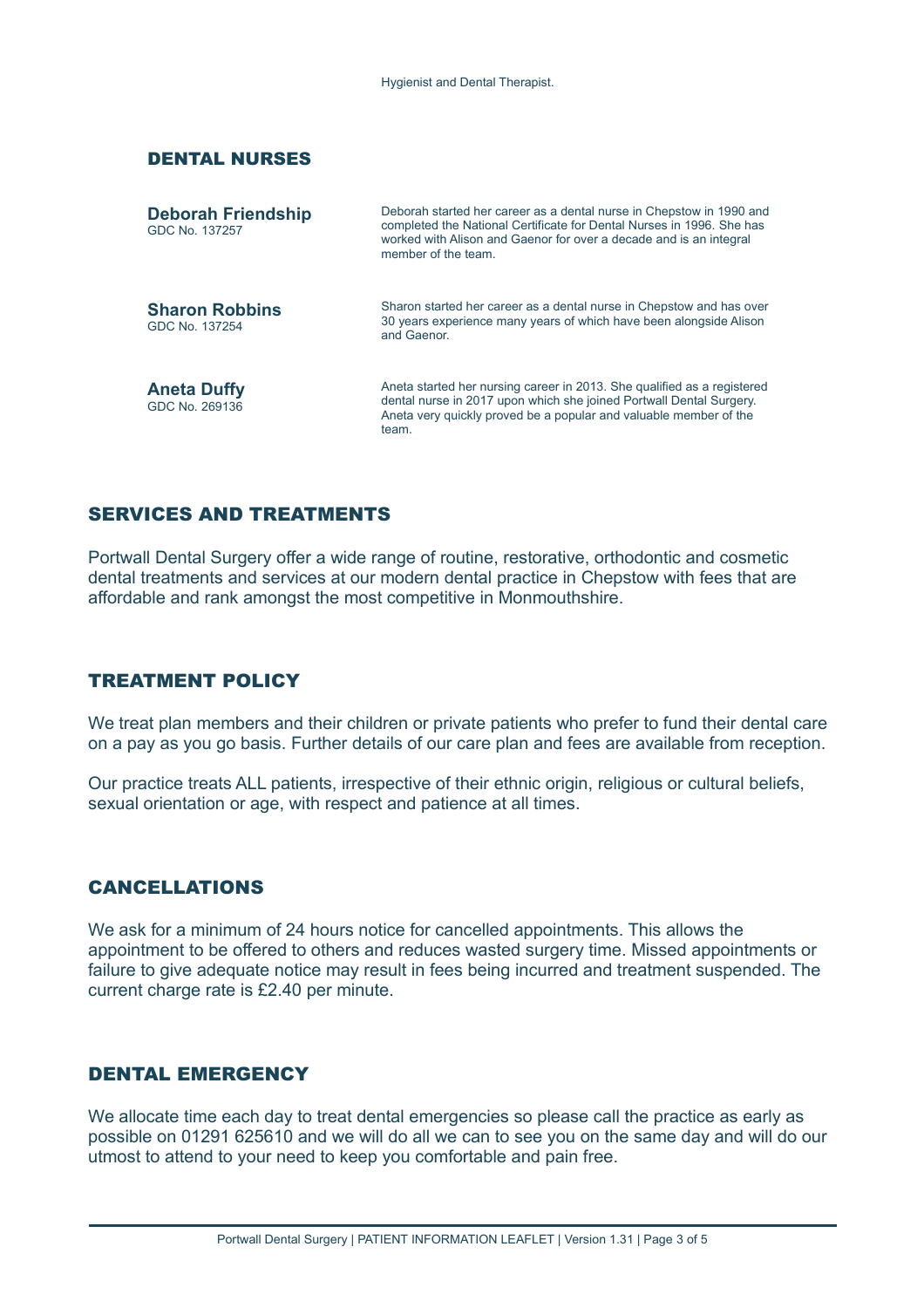#### DENTAL NURSES

| <b>Deborah Friendship</b><br>GDC No. 137257 | Deborah started her career as a dental nurse in Chepstow in 1990 and<br>completed the National Certificate for Dental Nurses in 1996. She has<br>worked with Alison and Gaenor for over a decade and is an integral<br>member of the team |
|---------------------------------------------|-------------------------------------------------------------------------------------------------------------------------------------------------------------------------------------------------------------------------------------------|
| <b>Sharon Robbins</b><br>GDC No. 137254     | Sharon started her career as a dental nurse in Chepstow and has over<br>30 years experience many years of which have been alongside Alison<br>and Gaenor                                                                                  |
| <b>Aneta Duffy</b><br>GDC No. 269136        | Aneta started her nursing career in 2013. She qualified as a registered<br>dental nurse in 2017 upon which she joined Portwall Dental Surgery.<br>Aneta very quickly proved be a popular and valuable member of the<br>team.              |

# SERVICES AND TREATMENTS

Portwall Dental Surgery offer a wide range of routine, restorative, orthodontic and cosmetic dental treatments and services at our modern dental practice in Chepstow with fees that are affordable and rank amongst the most competitive in Monmouthshire.

### TREATMENT POLICY

We treat plan members and their children or private patients who prefer to fund their dental care on a pay as you go basis. Further details of our care plan and fees are available from reception.

Our practice treats ALL patients, irrespective of their ethnic origin, religious or cultural beliefs, sexual orientation or age, with respect and patience at all times.

### CANCELLATIONS

We ask for a minimum of 24 hours notice for cancelled appointments. This allows the appointment to be offered to others and reduces wasted surgery time. Missed appointments or failure to give adequate notice may result in fees being incurred and treatment suspended. The current charge rate is £2.40 per minute.

### DENTAL EMERGENCY

We allocate time each day to treat dental emergencies so please call the practice as early as possible on 01291 625610 and we will do all we can to see you on the same day and will do our utmost to attend to your need to keep you comfortable and pain free.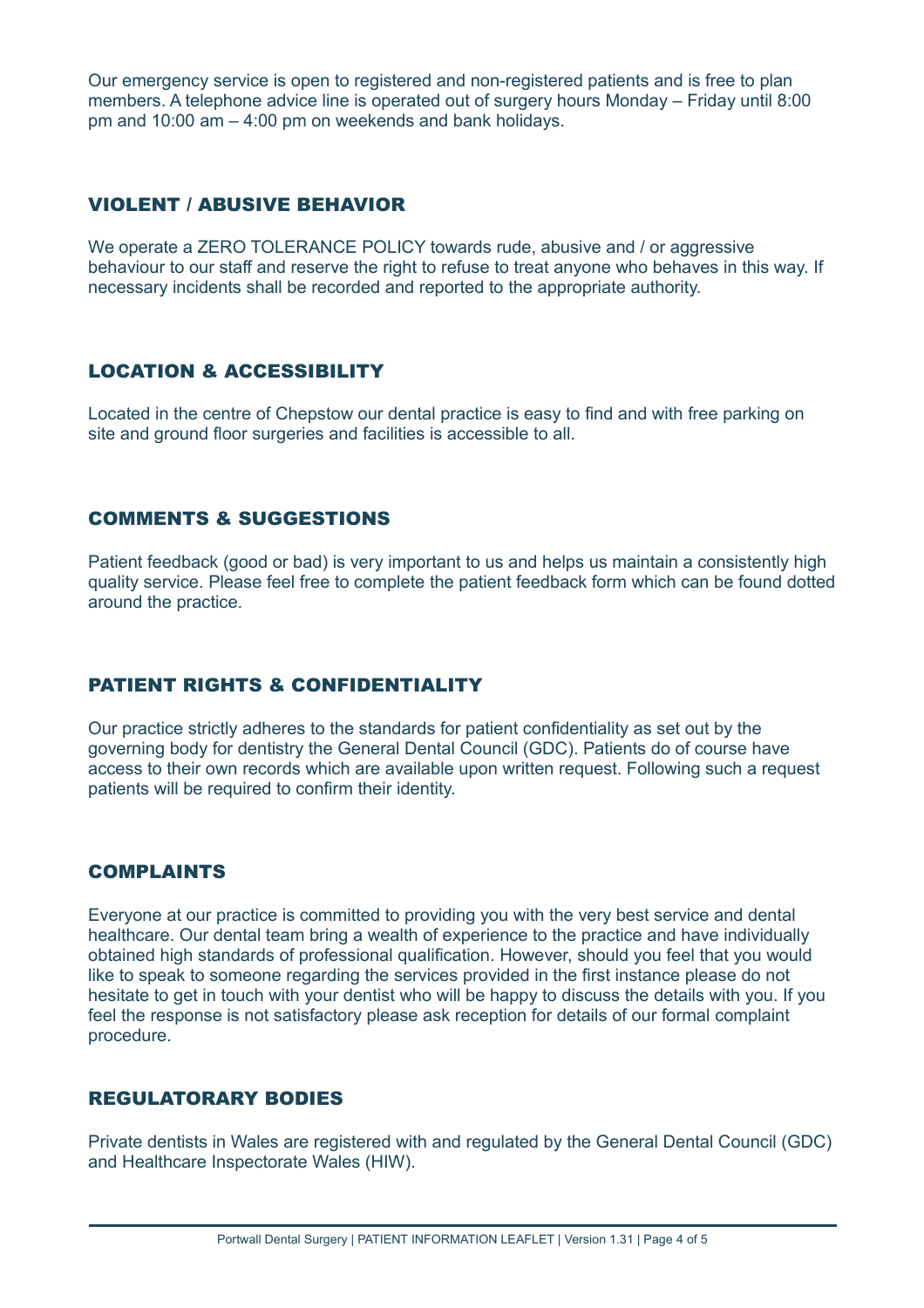Our emergency service is open to registered and non-registered patients and is free to plan members. A telephone advice line is operated out of surgery hours Monday – Friday until 8:00 pm and 10:00 am – 4:00 pm on weekends and bank holidays.

# VIOLENT / ABUSIVE BEHAVIOR

We operate a ZERO TOLERANCE POLICY towards rude, abusive and / or aggressive behaviour to our staff and reserve the right to refuse to treat anyone who behaves in this way. If necessary incidents shall be recorded and reported to the appropriate authority.

# LOCATION & ACCESSIBILITY

Located in the centre of Chepstow our dental practice is easy to find and with free parking on site and ground floor surgeries and facilities is accessible to all.

# COMMENTS & SUGGESTIONS

Patient feedback (good or bad) is very important to us and helps us maintain a consistently high quality service. Please feel free to complete the patient feedback form which can be found dotted around the practice.

# PATIENT RIGHTS & CONFIDENTIALITY

Our practice strictly adheres to the standards for patient confidentiality as set out by the governing body for dentistry the General Dental Council (GDC). Patients do of course have access to their own records which are available upon written request. Following such a request patients will be required to confirm their identity.

# COMPLAINTS

Everyone at our practice is committed to providing you with the very best service and dental healthcare. Our dental team bring a wealth of experience to the practice and have individually obtained high standards of professional qualification. However, should you feel that you would like to speak to someone regarding the services provided in the first instance please do not hesitate to get in touch with your dentist who will be happy to discuss the details with you. If you feel the response is not satisfactory please ask reception for details of our formal complaint procedure.

# REGULATORARY BODIES

Private dentists in Wales are registered with and regulated by the General Dental Council (GDC) and Healthcare Inspectorate Wales (HIW).